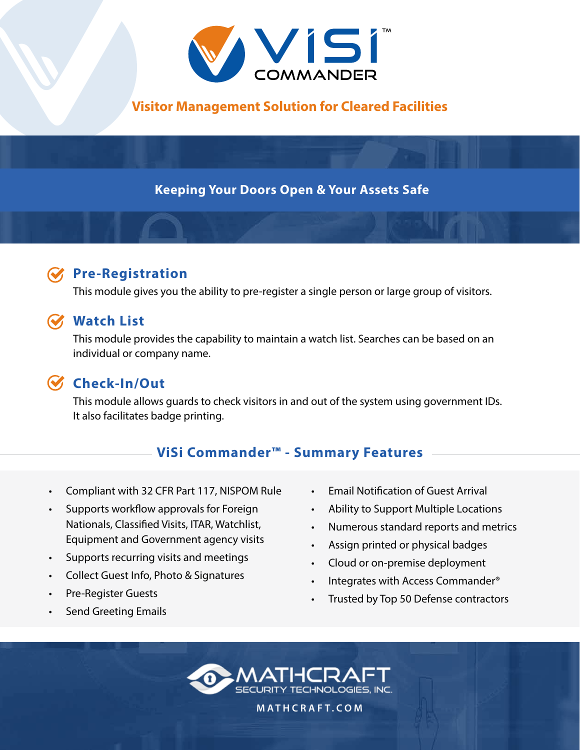

**Visitor Management Solution for Cleared Facilities**

**Keeping Your Doors Open & Your Assets Safe**

## **Pre-Registration**

This module gives you the ability to pre-register a single person or large group of visitors.

### **Watch List**

This module provides the capability to maintain a watch list. Searches can be based on an individual or company name.

# **Check-In/Out**

This module allows guards to check visitors in and out of the system using government IDs. It also facilitates badge printing.

## **ViSi Commander™ - Summary Features**

- Compliant with 32 CFR Part 117, NISPOM Rule
- Supports workflow approvals for Foreign Nationals, Classified Visits, ITAR, Watchlist, Equipment and Government agency visits
- Supports recurring visits and meetings
- Collect Guest Info, Photo & Signatures
- Pre-Register Guests
- Send Greeting Emails
- Email Notification of Guest Arrival
- Ability to Support Multiple Locations
- Numerous standard reports and metrics
- Assign printed or physical badges
- Cloud or on-premise deployment
- Integrates with Access Commander<sup>®</sup>
- Trusted by Top 50 Defense contractors